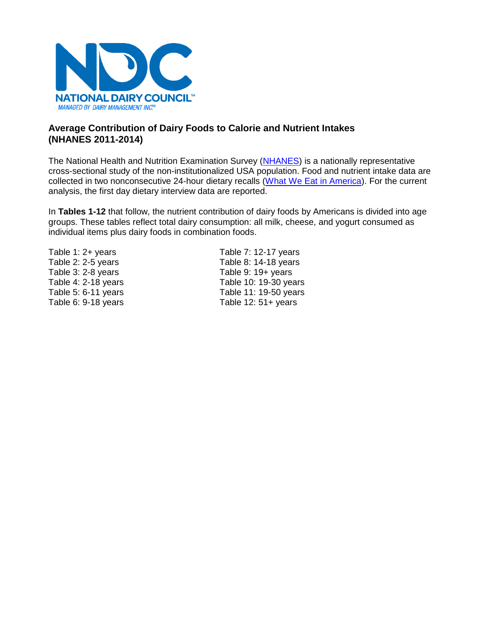

# **Average Contribution of Dairy Foods to Calorie and Nutrient Intakes (NHANES 2011-2014)**

The National Health and Nutrition Examination Survey [\(NHANES\)](https://www.cdc.gov/nchs/nhanes/about_nhanes.htm) is a nationally representative cross-sectional study of the non-institutionalized USA population. Food and nutrient intake data are collected in two nonconsecutive 24-hour dietary recalls [\(What We Eat in America\)](https://www.ars.usda.gov/northeast-area/beltsville-md/beltsville-human-nutrition-research-center/food-surveys-research-group/docs/wweianhanes-overview/). For the current analysis, the first day dietary interview data are reported.

In **Tables 1-12** that follow, the nutrient contribution of dairy foods by Americans is divided into age groups. These tables reflect total dairy consumption: all milk, cheese, and yogurt consumed as individual items plus dairy foods in combination foods.

Table 3: 2-8 years Table 9: 19+ years

Table 1: 2+ years Table 7: 12-17 years Table 2: 2-5 years Table 8: 14-18 years Table 4: 2-18 years Table 10: 19-30 years Table 5: 6-11 years Table 11: 19-50 years Table 6: 9-18 years Table 12: 51+ years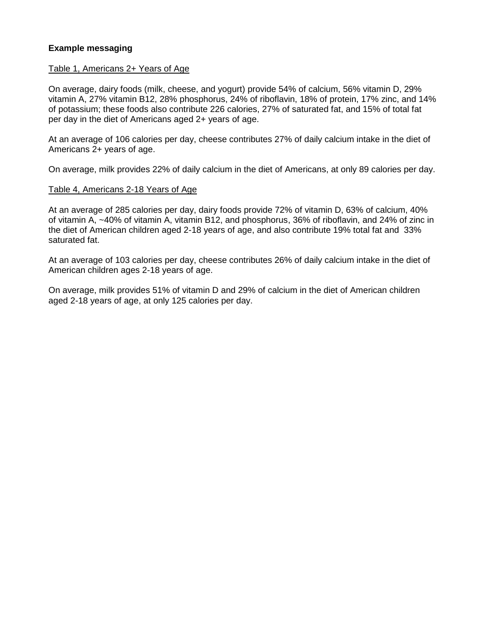# **Example messaging**

# Table 1, Americans 2+ Years of Age

On average, dairy foods (milk, cheese, and yogurt) provide 54% of calcium, 56% vitamin D, 29% vitamin A, 27% vitamin B12, 28% phosphorus, 24% of riboflavin, 18% of protein, 17% zinc, and 14% of potassium; these foods also contribute 226 calories, 27% of saturated fat, and 15% of total fat per day in the diet of Americans aged 2+ years of age.

At an average of 106 calories per day, cheese contributes 27% of daily calcium intake in the diet of Americans 2+ years of age.

On average, milk provides 22% of daily calcium in the diet of Americans, at only 89 calories per day.

# Table 4, Americans 2-18 Years of Age

At an average of 285 calories per day, dairy foods provide 72% of vitamin D, 63% of calcium, 40% of vitamin A, ~40% of vitamin A, vitamin B12, and phosphorus, 36% of riboflavin, and 24% of zinc in the diet of American children aged 2-18 years of age, and also contribute 19% total fat and 33% saturated fat.

At an average of 103 calories per day, cheese contributes 26% of daily calcium intake in the diet of American children ages 2-18 years of age.

On average, milk provides 51% of vitamin D and 29% of calcium in the diet of American children aged 2-18 years of age, at only 125 calories per day.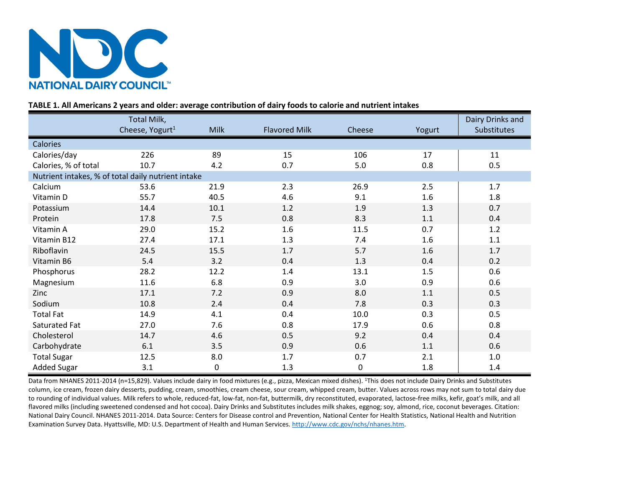

# **TABLE 1. All Americans 2 years and older: average contribution of dairy foods to calorie and nutrient intakes**

|                                                    | Total Milk,                 |             |                      |             |         | Dairy Drinks and |
|----------------------------------------------------|-----------------------------|-------------|----------------------|-------------|---------|------------------|
|                                                    | Cheese, Yogurt <sup>1</sup> | <b>Milk</b> | <b>Flavored Milk</b> | Cheese      | Yogurt  | Substitutes      |
| Calories                                           |                             |             |                      |             |         |                  |
| Calories/day                                       | 226                         | 89          | 15                   | 106         | 17      | 11               |
| Calories, % of total                               | 10.7                        | 4.2         | 0.7                  | 5.0         | 0.8     | 0.5              |
| Nutrient intakes, % of total daily nutrient intake |                             |             |                      |             |         |                  |
| Calcium                                            | 53.6                        | 21.9        | 2.3                  | 26.9        | 2.5     | 1.7              |
| Vitamin D                                          | 55.7                        | 40.5        | 4.6                  | 9.1         | 1.6     | 1.8              |
| Potassium                                          | 14.4                        | 10.1        | 1.2                  | 1.9         | 1.3     | 0.7              |
| Protein                                            | 17.8                        | 7.5         | 0.8                  | 8.3         | $1.1\,$ | 0.4              |
| Vitamin A                                          | 29.0                        | 15.2        | 1.6                  | 11.5        | 0.7     | 1.2              |
| Vitamin B12                                        | 27.4                        | 17.1        | 1.3                  | 7.4         | 1.6     | 1.1              |
| Riboflavin                                         | 24.5                        | 15.5        | $1.7$                | 5.7         | 1.6     | 1.7              |
| Vitamin B6                                         | 5.4                         | 3.2         | 0.4                  | 1.3         | 0.4     | 0.2              |
| Phosphorus                                         | 28.2                        | 12.2        | 1.4                  | 13.1        | 1.5     | 0.6              |
| Magnesium                                          | 11.6                        | 6.8         | 0.9                  | 3.0         | 0.9     | 0.6              |
| Zinc                                               | 17.1                        | 7.2         | 0.9                  | 8.0         | 1.1     | 0.5              |
| Sodium                                             | 10.8                        | 2.4         | 0.4                  | 7.8         | 0.3     | 0.3              |
| <b>Total Fat</b>                                   | 14.9                        | 4.1         | 0.4                  | 10.0        | 0.3     | 0.5              |
| Saturated Fat                                      | 27.0                        | 7.6         | 0.8                  | 17.9        | 0.6     | 0.8              |
| Cholesterol                                        | 14.7                        | 4.6         | 0.5                  | 9.2         | 0.4     | 0.4              |
| Carbohydrate                                       | 6.1                         | 3.5         | 0.9                  | 0.6         | 1.1     | 0.6              |
| <b>Total Sugar</b>                                 | 12.5                        | 8.0         | 1.7                  | 0.7         | 2.1     | $1.0\,$          |
| <b>Added Sugar</b>                                 | 3.1                         | 0           | 1.3                  | $\mathbf 0$ | 1.8     | 1.4              |

Data from NHANES 2011-2014 (n=15,829). Values include dairy in food mixtures (e.g., pizza, Mexican mixed dishes). <sup>1</sup>This does not include Dairy Drinks and Substitutes column, ice cream, frozen dairy desserts, pudding, cream, smoothies, cream cheese, sour cream, whipped cream, butter. Values across rows may not sum to total dairy due to rounding of individual values. Milk refers to whole, reduced-fat, low-fat, non-fat, buttermilk, dry reconstituted, evaporated, lactose-free milks, kefir, goat's milk, and all flavored milks (including sweetened condensed and hot cocoa). Dairy Drinks and Substitutes includes milk shakes, eggnog; soy, almond, rice, coconut beverages. Citation: National Dairy Council. NHANES 2011-2014. Data Source: Centers for Disease control and Prevention, National Center for Health Statistics, National Health and Nutrition Examination Survey Data. Hyattsville, MD: U.S. Department of Health and Human Services. [http://www.cdc.gov/nchs/nhanes.htm.](http://www.cdc.gov/nchs/nhanes.htm)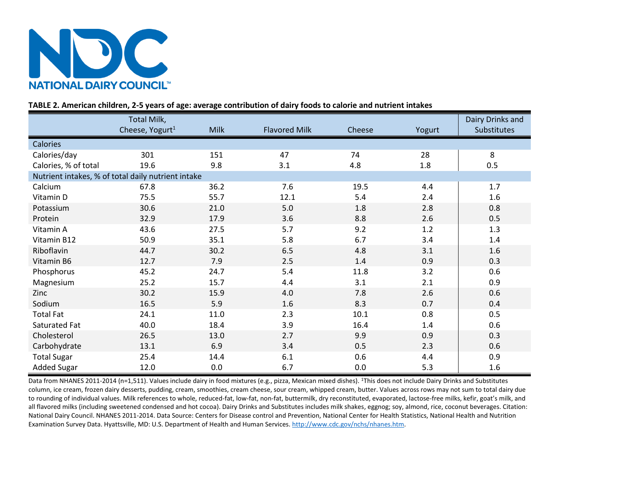

# **TABLE 2. American children, 2-5 years of age: average contribution of dairy foods to calorie and nutrient intakes**

|                                                    | Total Milk,                 |             |                      |        |        | Dairy Drinks and   |
|----------------------------------------------------|-----------------------------|-------------|----------------------|--------|--------|--------------------|
|                                                    | Cheese, Yogurt <sup>1</sup> | <b>Milk</b> | <b>Flavored Milk</b> | Cheese | Yogurt | <b>Substitutes</b> |
| Calories                                           |                             |             |                      |        |        |                    |
| Calories/day                                       | 301                         | 151         | 47                   | 74     | 28     | 8                  |
| Calories, % of total                               | 19.6                        | 9.8         | 3.1                  | 4.8    | 1.8    | 0.5                |
| Nutrient intakes, % of total daily nutrient intake |                             |             |                      |        |        |                    |
| Calcium                                            | 67.8                        | 36.2        | 7.6                  | 19.5   | 4.4    | 1.7                |
| Vitamin D                                          | 75.5                        | 55.7        | 12.1                 | 5.4    | 2.4    | 1.6                |
| Potassium                                          | 30.6                        | 21.0        | 5.0                  | 1.8    | 2.8    | 0.8                |
| Protein                                            | 32.9                        | 17.9        | 3.6                  | 8.8    | 2.6    | 0.5                |
| Vitamin A                                          | 43.6                        | 27.5        | 5.7                  | 9.2    | 1.2    | 1.3                |
| Vitamin B12                                        | 50.9                        | 35.1        | 5.8                  | 6.7    | 3.4    | 1.4                |
| Riboflavin                                         | 44.7                        | 30.2        | 6.5                  | 4.8    | 3.1    | 1.6                |
| Vitamin B6                                         | 12.7                        | 7.9         | 2.5                  | 1.4    | 0.9    | 0.3                |
| Phosphorus                                         | 45.2                        | 24.7        | 5.4                  | 11.8   | 3.2    | 0.6                |
| Magnesium                                          | 25.2                        | 15.7        | 4.4                  | 3.1    | 2.1    | 0.9                |
| Zinc                                               | 30.2                        | 15.9        | 4.0                  | 7.8    | 2.6    | 0.6                |
| Sodium                                             | 16.5                        | 5.9         | 1.6                  | 8.3    | 0.7    | 0.4                |
| <b>Total Fat</b>                                   | 24.1                        | 11.0        | 2.3                  | 10.1   | 0.8    | 0.5                |
| Saturated Fat                                      | 40.0                        | 18.4        | 3.9                  | 16.4   | 1.4    | 0.6                |
| Cholesterol                                        | 26.5                        | 13.0        | 2.7                  | 9.9    | 0.9    | 0.3                |
| Carbohydrate                                       | 13.1                        | 6.9         | 3.4                  | 0.5    | 2.3    | 0.6                |
| <b>Total Sugar</b>                                 | 25.4                        | 14.4        | 6.1                  | 0.6    | 4.4    | 0.9                |
| <b>Added Sugar</b>                                 | 12.0                        | 0.0         | 6.7                  | 0.0    | 5.3    | 1.6                |

Data from NHANES 2011-2014 (n=1,511). Values include dairy in food mixtures (e.g., pizza, Mexican mixed dishes). <sup>1</sup>This does not include Dairy Drinks and Substitutes column, ice cream, frozen dairy desserts, pudding, cream, smoothies, cream cheese, sour cream, whipped cream, butter. Values across rows may not sum to total dairy due to rounding of individual values. Milk references to whole, reduced-fat, low-fat, non-fat, buttermilk, dry reconstituted, evaporated, lactose-free milks, kefir, goat's milk, and all flavored milks (including sweetened condensed and hot cocoa). Dairy Drinks and Substitutes includes milk shakes, eggnog; soy, almond, rice, coconut beverages. Citation: National Dairy Council. NHANES 2011-2014. Data Source: Centers for Disease control and Prevention, National Center for Health Statistics, National Health and Nutrition Examination Survey Data. Hyattsville, MD: U.S. Department of Health and Human Services. [http://www.cdc.gov/nchs/nhanes.htm.](http://www.cdc.gov/nchs/nhanes.htm)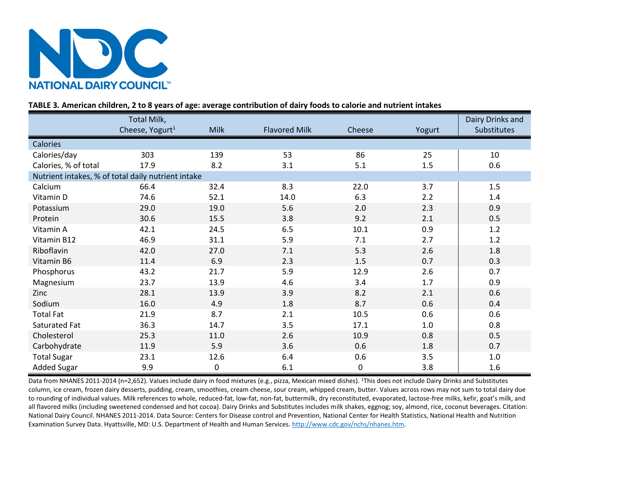

# **TABLE 3. American children, 2 to 8 years of age: average contribution of dairy foods to calorie and nutrient intakes**

|                                                    | Total Milk,                 |             |                      |             |        | Dairy Drinks and |
|----------------------------------------------------|-----------------------------|-------------|----------------------|-------------|--------|------------------|
|                                                    | Cheese, Yogurt <sup>1</sup> | <b>Milk</b> | <b>Flavored Milk</b> | Cheese      | Yogurt | Substitutes      |
| <b>Calories</b>                                    |                             |             |                      |             |        |                  |
| Calories/day                                       | 303                         | 139         | 53                   | 86          | 25     | 10               |
| Calories, % of total                               | 17.9                        | 8.2         | 3.1                  | 5.1         | 1.5    | 0.6              |
| Nutrient intakes, % of total daily nutrient intake |                             |             |                      |             |        |                  |
| Calcium                                            | 66.4                        | 32.4        | 8.3                  | 22.0        | 3.7    | 1.5              |
| Vitamin D                                          | 74.6                        | 52.1        | 14.0                 | 6.3         | 2.2    | 1.4              |
| Potassium                                          | 29.0                        | 19.0        | 5.6                  | 2.0         | 2.3    | 0.9              |
| Protein                                            | 30.6                        | 15.5        | 3.8                  | 9.2         | 2.1    | 0.5              |
| Vitamin A                                          | 42.1                        | 24.5        | 6.5                  | 10.1        | 0.9    | 1.2              |
| Vitamin B12                                        | 46.9                        | 31.1        | 5.9                  | 7.1         | 2.7    | 1.2              |
| Riboflavin                                         | 42.0                        | 27.0        | 7.1                  | 5.3         | 2.6    | 1.8              |
| Vitamin B6                                         | 11.4                        | 6.9         | 2.3                  | 1.5         | 0.7    | 0.3              |
| Phosphorus                                         | 43.2                        | 21.7        | 5.9                  | 12.9        | 2.6    | 0.7              |
| Magnesium                                          | 23.7                        | 13.9        | 4.6                  | 3.4         | 1.7    | 0.9              |
| Zinc                                               | 28.1                        | 13.9        | 3.9                  | 8.2         | 2.1    | 0.6              |
| Sodium                                             | 16.0                        | 4.9         | 1.8                  | 8.7         | 0.6    | 0.4              |
| <b>Total Fat</b>                                   | 21.9                        | 8.7         | 2.1                  | 10.5        | 0.6    | 0.6              |
| Saturated Fat                                      | 36.3                        | 14.7        | 3.5                  | 17.1        | 1.0    | 0.8              |
| Cholesterol                                        | 25.3                        | 11.0        | 2.6                  | 10.9        | 0.8    | 0.5              |
| Carbohydrate                                       | 11.9                        | 5.9         | 3.6                  | 0.6         | 1.8    | 0.7              |
| <b>Total Sugar</b>                                 | 23.1                        | 12.6        | 6.4                  | 0.6         | 3.5    | $1.0\,$          |
| <b>Added Sugar</b>                                 | 9.9                         | $\mathbf 0$ | 6.1                  | $\mathbf 0$ | 3.8    | 1.6              |

Data from NHANES 2011-2014 (n=2,652). Values include dairy in food mixtures (e.g., pizza, Mexican mixed dishes). <sup>1</sup>This does not include Dairy Drinks and Substitutes column, ice cream, frozen dairy desserts, pudding, cream, smoothies, cream cheese, sour cream, whipped cream, butter. Values across rows may not sum to total dairy due to rounding of individual values. Milk references to whole, reduced-fat, low-fat, non-fat, buttermilk, dry reconstituted, evaporated, lactose-free milks, kefir, goat's milk, and all flavored milks (including sweetened condensed and hot cocoa). Dairy Drinks and Substitutes includes milk shakes, eggnog; soy, almond, rice, coconut beverages. Citation: National Dairy Council. NHANES 2011-2014. Data Source: Centers for Disease control and Prevention, National Center for Health Statistics, National Health and Nutrition Examination Survey Data. Hyattsville, MD: U.S. Department of Health and Human Services. [http://www.cdc.gov/nchs/nhanes.htm.](http://www.cdc.gov/nchs/nhanes.htm)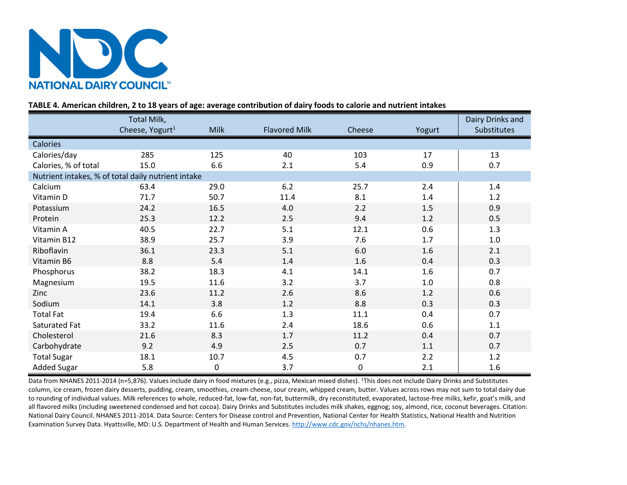

# **TABLE 4. American children, 2 to 18 years of age: average contribution of dairy foods to calorie and nutrient intakes**

|                                                    | Total Milk,                 |             |                      |                  |        | Dairy Drinks and |
|----------------------------------------------------|-----------------------------|-------------|----------------------|------------------|--------|------------------|
|                                                    | Cheese, Yogurt <sup>1</sup> | <b>Milk</b> | <b>Flavored Milk</b> | Cheese           | Yogurt | Substitutes      |
| Calories                                           |                             |             |                      |                  |        |                  |
| Calories/day                                       | 285                         | 125         | 40                   | 103              | 17     | 13               |
| Calories, % of total                               | 15.0                        | 6.6         | 2.1                  | 5.4              | 0.9    | 0.7              |
| Nutrient intakes, % of total daily nutrient intake |                             |             |                      |                  |        |                  |
| Calcium                                            | 63.4                        | 29.0        | 6.2                  | 25.7             | 2.4    | 1.4              |
| Vitamin D                                          | 71.7                        | 50.7        | 11.4                 | 8.1              | 1.4    | 1.2              |
| Potassium                                          | 24.2                        | 16.5        | 4.0                  | 2.2              | 1.5    | 0.9              |
| Protein                                            | 25.3                        | 12.2        | 2.5                  | 9.4              | 1.2    | 0.5              |
| Vitamin A                                          | 40.5                        | 22.7        | 5.1                  | 12.1             | 0.6    | 1.3              |
| Vitamin B12                                        | 38.9                        | 25.7        | 3.9                  | 7.6              | 1.7    | $1.0\,$          |
| Riboflavin                                         | 36.1                        | 23.3        | 5.1                  | 6.0              | 1.6    | 2.1              |
| Vitamin B6                                         | 8.8                         | 5.4         | 1.4                  | 1.6              | 0.4    | 0.3              |
| Phosphorus                                         | 38.2                        | 18.3        | 4.1                  | 14.1             | 1.6    | 0.7              |
| Magnesium                                          | 19.5                        | 11.6        | 3.2                  | 3.7              | 1.0    | 0.8              |
| Zinc                                               | 23.6                        | 11.2        | 2.6                  | 8.6              | 1.2    | 0.6              |
| Sodium                                             | 14.1                        | 3.8         | 1.2                  | 8.8              | 0.3    | 0.3              |
| <b>Total Fat</b>                                   | 19.4                        | 6.6         | 1.3                  | 11.1             | 0.4    | 0.7              |
| Saturated Fat                                      | 33.2                        | 11.6        | 2.4                  | 18.6             | 0.6    | 1.1              |
| Cholesterol                                        | 21.6                        | 8.3         | 1.7                  | 11.2             | 0.4    | 0.7              |
| Carbohydrate                                       | 9.2                         | 4.9         | 2.5                  | 0.7              | 1.1    | 0.7              |
| <b>Total Sugar</b>                                 | 18.1                        | 10.7        | 4.5                  | 0.7              | 2.2    | 1.2              |
| <b>Added Sugar</b>                                 | 5.8                         | $\pmb{0}$   | 3.7                  | $\boldsymbol{0}$ | 2.1    | 1.6              |

Data from NHANES 2011-2014 (n=5,876). Values include dairy in food mixtures (e.g., pizza, Mexican mixed dishes). <sup>1</sup>This does not include Dairy Drinks and Substitutes column, ice cream, frozen dairy desserts, pudding, cream, smoothies, cream cheese, sour cream, whipped cream, butter. Values across rows may not sum to total dairy due to rounding of individual values. Milk references to whole, reduced-fat, low-fat, non-fat, buttermilk, dry reconstituted, evaporated, lactose-free milks, kefir, goat's milk, and all flavored milks (including sweetened condensed and hot cocoa). Dairy Drinks and Substitutes includes milk shakes, eggnog; soy, almond, rice, coconut beverages. Citation: National Dairy Council. NHANES 2011-2014. Data Source: Centers for Disease control and Prevention, National Center for Health Statistics, National Health and Nutrition Examination Survey Data. Hyattsville, MD: U.S. Department of Health and Human Services. [http://www.cdc.gov/nchs/nhanes.htm.](http://www.cdc.gov/nchs/nhanes.htm)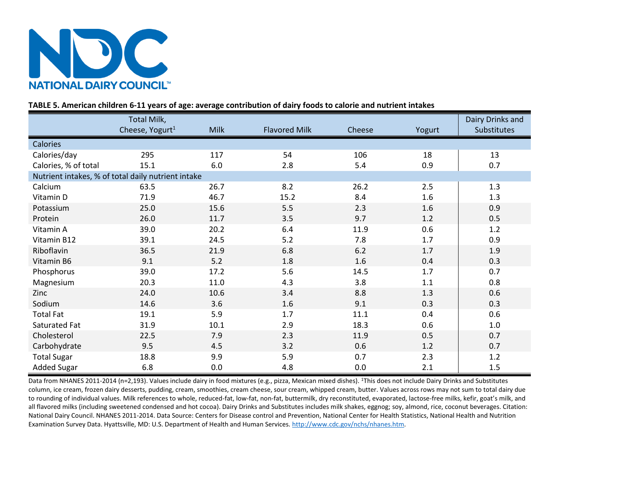

# **TABLE 5. American children 6-11 years of age: average contribution of dairy foods to calorie and nutrient intakes**

|                                                    | Total Milk,                 |             |                      |        |        | Dairy Drinks and |
|----------------------------------------------------|-----------------------------|-------------|----------------------|--------|--------|------------------|
|                                                    | Cheese, Yogurt <sup>1</sup> | <b>Milk</b> | <b>Flavored Milk</b> | Cheese | Yogurt | Substitutes      |
| <b>Calories</b>                                    |                             |             |                      |        |        |                  |
| Calories/day                                       | 295                         | 117         | 54                   | 106    | 18     | 13               |
| Calories, % of total                               | 15.1                        | 6.0         | 2.8                  | 5.4    | 0.9    | 0.7              |
| Nutrient intakes, % of total daily nutrient intake |                             |             |                      |        |        |                  |
| Calcium                                            | 63.5                        | 26.7        | 8.2                  | 26.2   | 2.5    | 1.3              |
| Vitamin D                                          | 71.9                        | 46.7        | 15.2                 | 8.4    | 1.6    | 1.3              |
| Potassium                                          | 25.0                        | 15.6        | 5.5                  | 2.3    | 1.6    | 0.9              |
| Protein                                            | 26.0                        | 11.7        | 3.5                  | 9.7    | 1.2    | 0.5              |
| Vitamin A                                          | 39.0                        | 20.2        | 6.4                  | 11.9   | 0.6    | 1.2              |
| Vitamin B12                                        | 39.1                        | 24.5        | 5.2                  | 7.8    | 1.7    | 0.9              |
| Riboflavin                                         | 36.5                        | 21.9        | 6.8                  | 6.2    | 1.7    | 1.9              |
| Vitamin B6                                         | 9.1                         | 5.2         | 1.8                  | 1.6    | 0.4    | 0.3              |
| Phosphorus                                         | 39.0                        | 17.2        | 5.6                  | 14.5   | 1.7    | 0.7              |
| Magnesium                                          | 20.3                        | 11.0        | 4.3                  | 3.8    | 1.1    | 0.8              |
| Zinc                                               | 24.0                        | 10.6        | 3.4                  | 8.8    | 1.3    | 0.6              |
| Sodium                                             | 14.6                        | 3.6         | 1.6                  | 9.1    | 0.3    | 0.3              |
| <b>Total Fat</b>                                   | 19.1                        | 5.9         | 1.7                  | 11.1   | 0.4    | 0.6              |
| Saturated Fat                                      | 31.9                        | 10.1        | 2.9                  | 18.3   | 0.6    | 1.0              |
| Cholesterol                                        | 22.5                        | 7.9         | 2.3                  | 11.9   | 0.5    | 0.7              |
| Carbohydrate                                       | 9.5                         | 4.5         | 3.2                  | 0.6    | 1.2    | 0.7              |
| <b>Total Sugar</b>                                 | 18.8                        | 9.9         | 5.9                  | 0.7    | 2.3    | 1.2              |
| <b>Added Sugar</b>                                 | 6.8                         | 0.0         | 4.8                  | 0.0    | 2.1    | 1.5              |

Data from NHANES 2011-2014 (n=2,193). Values include dairy in food mixtures (e.g., pizza, Mexican mixed dishes). <sup>1</sup>This does not include Dairy Drinks and Substitutes column, ice cream, frozen dairy desserts, pudding, cream, smoothies, cream cheese, sour cream, whipped cream, butter. Values across rows may not sum to total dairy due to rounding of individual values. Milk references to whole, reduced-fat, low-fat, non-fat, buttermilk, dry reconstituted, evaporated, lactose-free milks, kefir, goat's milk, and all flavored milks (including sweetened condensed and hot cocoa). Dairy Drinks and Substitutes includes milk shakes, eggnog; soy, almond, rice, coconut beverages. Citation: National Dairy Council. NHANES 2011-2014. Data Source: Centers for Disease control and Prevention, National Center for Health Statistics, National Health and Nutrition Examination Survey Data. Hyattsville, MD: U.S. Department of Health and Human Services. [http://www.cdc.gov/nchs/nhanes.htm.](http://www.cdc.gov/nchs/nhanes.htm)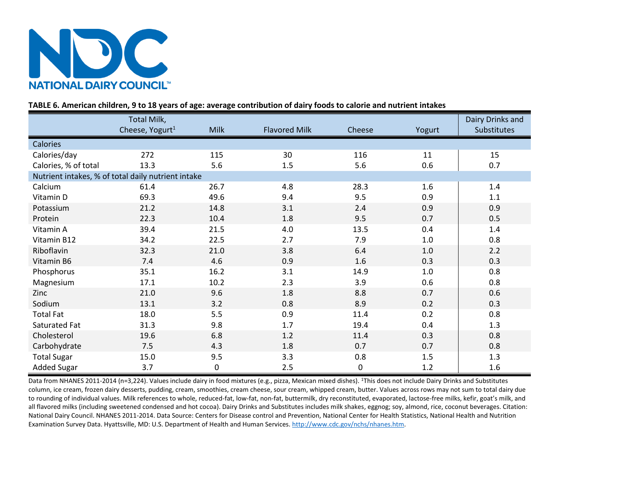

# **TABLE 6. American children, 9 to 18 years of age: average contribution of dairy foods to calorie and nutrient intakes**

|                                                    | Total Milk,                 |             |                      |                  |         | Dairy Drinks and |
|----------------------------------------------------|-----------------------------|-------------|----------------------|------------------|---------|------------------|
|                                                    | Cheese, Yogurt <sup>1</sup> | <b>Milk</b> | <b>Flavored Milk</b> | Cheese           | Yogurt  | Substitutes      |
| Calories                                           |                             |             |                      |                  |         |                  |
| Calories/day                                       | 272                         | 115         | 30                   | 116              | 11      | 15               |
| Calories, % of total                               | 13.3                        | 5.6         | 1.5                  | 5.6              | 0.6     | 0.7              |
| Nutrient intakes, % of total daily nutrient intake |                             |             |                      |                  |         |                  |
| Calcium                                            | 61.4                        | 26.7        | 4.8                  | 28.3             | 1.6     | 1.4              |
| Vitamin D                                          | 69.3                        | 49.6        | 9.4                  | 9.5              | 0.9     | $1.1\,$          |
| Potassium                                          | 21.2                        | 14.8        | 3.1                  | 2.4              | 0.9     | 0.9              |
| Protein                                            | 22.3                        | 10.4        | 1.8                  | 9.5              | 0.7     | 0.5              |
| Vitamin A                                          | 39.4                        | 21.5        | 4.0                  | 13.5             | 0.4     | 1.4              |
| Vitamin B12                                        | 34.2                        | 22.5        | 2.7                  | 7.9              | $1.0\,$ | 0.8              |
| Riboflavin                                         | 32.3                        | 21.0        | 3.8                  | 6.4              | $1.0\,$ | 2.2              |
| Vitamin B6                                         | 7.4                         | 4.6         | 0.9                  | 1.6              | 0.3     | 0.3              |
| Phosphorus                                         | 35.1                        | 16.2        | 3.1                  | 14.9             | $1.0\,$ | 0.8              |
| Magnesium                                          | 17.1                        | 10.2        | 2.3                  | 3.9              | 0.6     | 0.8              |
| Zinc                                               | 21.0                        | 9.6         | 1.8                  | 8.8              | 0.7     | 0.6              |
| Sodium                                             | 13.1                        | 3.2         | 0.8                  | 8.9              | 0.2     | 0.3              |
| <b>Total Fat</b>                                   | 18.0                        | 5.5         | 0.9                  | 11.4             | 0.2     | 0.8              |
| Saturated Fat                                      | 31.3                        | 9.8         | 1.7                  | 19.4             | 0.4     | 1.3              |
| Cholesterol                                        | 19.6                        | 6.8         | 1.2                  | 11.4             | 0.3     | 0.8              |
| Carbohydrate                                       | 7.5                         | 4.3         | 1.8                  | 0.7              | 0.7     | 0.8              |
| <b>Total Sugar</b>                                 | 15.0                        | 9.5         | 3.3                  | 0.8              | 1.5     | 1.3              |
| <b>Added Sugar</b>                                 | 3.7                         | 0           | 2.5                  | $\boldsymbol{0}$ | 1.2     | 1.6              |

Data from NHANES 2011-2014 (n=3,224). Values include dairy in food mixtures (e.g., pizza, Mexican mixed dishes). <sup>1</sup>This does not include Dairy Drinks and Substitutes column, ice cream, frozen dairy desserts, pudding, cream, smoothies, cream cheese, sour cream, whipped cream, butter. Values across rows may not sum to total dairy due to rounding of individual values. Milk references to whole, reduced-fat, low-fat, non-fat, buttermilk, dry reconstituted, evaporated, lactose-free milks, kefir, goat's milk, and all flavored milks (including sweetened condensed and hot cocoa). Dairy Drinks and Substitutes includes milk shakes, eggnog; soy, almond, rice, coconut beverages. Citation: National Dairy Council. NHANES 2011-2014. Data Source: Centers for Disease control and Prevention, National Center for Health Statistics, National Health and Nutrition Examination Survey Data. Hyattsville, MD: U.S. Department of Health and Human Services. [http://www.cdc.gov/nchs/nhanes.htm.](http://www.cdc.gov/nchs/nhanes.htm)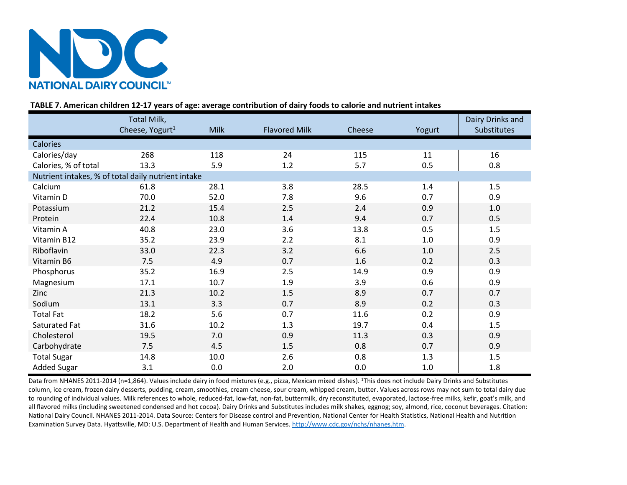

# **TABLE 7. American children 12-17 years of age: average contribution of dairy foods to calorie and nutrient intakes**

|                      | Total Milk,                                        |             |                      |        |         | Dairy Drinks and   |
|----------------------|----------------------------------------------------|-------------|----------------------|--------|---------|--------------------|
|                      | Cheese, Yogurt <sup>1</sup>                        | <b>Milk</b> | <b>Flavored Milk</b> | Cheese | Yogurt  | <b>Substitutes</b> |
| <b>Calories</b>      |                                                    |             |                      |        |         |                    |
| Calories/day         | 268                                                | 118         | 24                   | 115    | 11      | 16                 |
| Calories, % of total | 13.3                                               | 5.9         | $1.2\,$              | 5.7    | 0.5     | 0.8                |
|                      | Nutrient intakes, % of total daily nutrient intake |             |                      |        |         |                    |
| Calcium              | 61.8                                               | 28.1        | 3.8                  | 28.5   | 1.4     | 1.5                |
| Vitamin D            | 70.0                                               | 52.0        | 7.8                  | 9.6    | 0.7     | 0.9                |
| Potassium            | 21.2                                               | 15.4        | 2.5                  | 2.4    | 0.9     | $1.0\,$            |
| Protein              | 22.4                                               | 10.8        | 1.4                  | 9.4    | 0.7     | 0.5                |
| Vitamin A            | 40.8                                               | 23.0        | 3.6                  | 13.8   | 0.5     | 1.5                |
| Vitamin B12          | 35.2                                               | 23.9        | 2.2                  | 8.1    | $1.0\,$ | 0.9                |
| Riboflavin           | 33.0                                               | 22.3        | 3.2                  | 6.6    | $1.0$   | 2.5                |
| Vitamin B6           | 7.5                                                | 4.9         | 0.7                  | 1.6    | 0.2     | 0.3                |
| Phosphorus           | 35.2                                               | 16.9        | 2.5                  | 14.9   | 0.9     | 0.9                |
| Magnesium            | 17.1                                               | 10.7        | 1.9                  | 3.9    | 0.6     | 0.9                |
| Zinc                 | 21.3                                               | 10.2        | 1.5                  | 8.9    | 0.7     | 0.7                |
| Sodium               | 13.1                                               | 3.3         | 0.7                  | 8.9    | 0.2     | 0.3                |
| <b>Total Fat</b>     | 18.2                                               | 5.6         | 0.7                  | 11.6   | 0.2     | 0.9                |
| Saturated Fat        | 31.6                                               | 10.2        | 1.3                  | 19.7   | 0.4     | 1.5                |
| Cholesterol          | 19.5                                               | 7.0         | 0.9                  | 11.3   | 0.3     | 0.9                |
| Carbohydrate         | 7.5                                                | 4.5         | 1.5                  | 0.8    | 0.7     | 0.9                |
| <b>Total Sugar</b>   | 14.8                                               | 10.0        | 2.6                  | 0.8    | 1.3     | 1.5                |
| <b>Added Sugar</b>   | 3.1                                                | 0.0         | 2.0                  | 0.0    | $1.0\,$ | 1.8                |

Data from NHANES 2011-2014 (n=1,864). Values include dairy in food mixtures (e.g., pizza, Mexican mixed dishes). <sup>1</sup>This does not include Dairy Drinks and Substitutes column, ice cream, frozen dairy desserts, pudding, cream, smoothies, cream cheese, sour cream, whipped cream, butter. Values across rows may not sum to total dairy due to rounding of individual values. Milk references to whole, reduced-fat, low-fat, non-fat, buttermilk, dry reconstituted, evaporated, lactose-free milks, kefir, goat's milk, and all flavored milks (including sweetened condensed and hot cocoa). Dairy Drinks and Substitutes includes milk shakes, eggnog; soy, almond, rice, coconut beverages. Citation: National Dairy Council. NHANES 2011-2014. Data Source: Centers for Disease control and Prevention, National Center for Health Statistics, National Health and Nutrition Examination Survey Data. Hyattsville, MD: U.S. Department of Health and Human Services. [http://www.cdc.gov/nchs/nhanes.htm.](http://www.cdc.gov/nchs/nhanes.htm)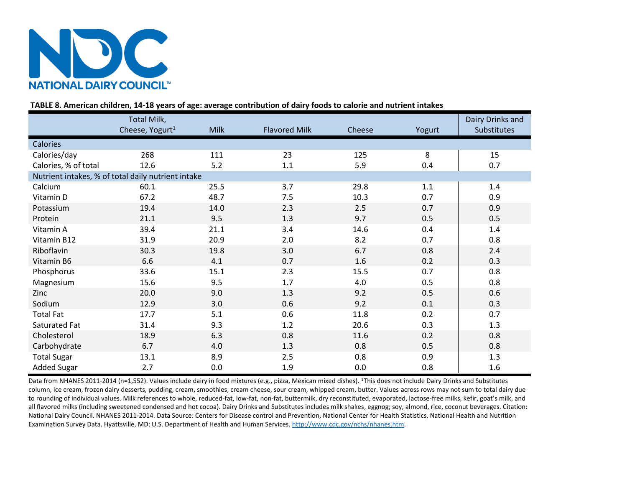

# **TABLE 8. American children, 14-18 years of age: average contribution of dairy foods to calorie and nutrient intakes**

|                                                    | Total Milk,                 |             |                      |        |        | Dairy Drinks and |
|----------------------------------------------------|-----------------------------|-------------|----------------------|--------|--------|------------------|
|                                                    | Cheese, Yogurt <sup>1</sup> | <b>Milk</b> | <b>Flavored Milk</b> | Cheese | Yogurt | Substitutes      |
| <b>Calories</b>                                    |                             |             |                      |        |        |                  |
| Calories/day                                       | 268                         | 111         | 23                   | 125    | 8      | 15               |
| Calories, % of total                               | 12.6                        | 5.2         | 1.1                  | 5.9    | 0.4    | 0.7              |
| Nutrient intakes, % of total daily nutrient intake |                             |             |                      |        |        |                  |
| Calcium                                            | 60.1                        | 25.5        | 3.7                  | 29.8   | 1.1    | 1.4              |
| Vitamin D                                          | 67.2                        | 48.7        | 7.5                  | 10.3   | 0.7    | 0.9              |
| Potassium                                          | 19.4                        | 14.0        | 2.3                  | 2.5    | 0.7    | 0.9              |
| Protein                                            | 21.1                        | 9.5         | 1.3                  | 9.7    | 0.5    | 0.5              |
| Vitamin A                                          | 39.4                        | 21.1        | 3.4                  | 14.6   | 0.4    | 1.4              |
| Vitamin B12                                        | 31.9                        | 20.9        | 2.0                  | 8.2    | 0.7    | 0.8              |
| Riboflavin                                         | 30.3                        | 19.8        | 3.0                  | 6.7    | 0.8    | 2.4              |
| Vitamin B6                                         | 6.6                         | 4.1         | 0.7                  | 1.6    | 0.2    | 0.3              |
| Phosphorus                                         | 33.6                        | 15.1        | 2.3                  | 15.5   | 0.7    | 0.8              |
| Magnesium                                          | 15.6                        | 9.5         | 1.7                  | 4.0    | 0.5    | 0.8              |
| Zinc                                               | 20.0                        | 9.0         | 1.3                  | 9.2    | 0.5    | 0.6              |
| Sodium                                             | 12.9                        | 3.0         | 0.6                  | 9.2    | 0.1    | 0.3              |
| <b>Total Fat</b>                                   | 17.7                        | 5.1         | 0.6                  | 11.8   | 0.2    | 0.7              |
| Saturated Fat                                      | 31.4                        | 9.3         | 1.2                  | 20.6   | 0.3    | 1.3              |
| Cholesterol                                        | 18.9                        | 6.3         | 0.8                  | 11.6   | 0.2    | 0.8              |
| Carbohydrate                                       | 6.7                         | 4.0         | 1.3                  | 0.8    | 0.5    | 0.8              |
| <b>Total Sugar</b>                                 | 13.1                        | 8.9         | 2.5                  | 0.8    | 0.9    | 1.3              |
| <b>Added Sugar</b>                                 | 2.7                         | 0.0         | 1.9                  | 0.0    | 0.8    | 1.6              |

Data from NHANES 2011-2014 (n=1,552). Values include dairy in food mixtures (e.g., pizza, Mexican mixed dishes). <sup>1</sup>This does not include Dairy Drinks and Substitutes column, ice cream, frozen dairy desserts, pudding, cream, smoothies, cream cheese, sour cream, whipped cream, butter. Values across rows may not sum to total dairy due to rounding of individual values. Milk references to whole, reduced-fat, low-fat, non-fat, buttermilk, dry reconstituted, evaporated, lactose-free milks, kefir, goat's milk, and all flavored milks (including sweetened condensed and hot cocoa). Dairy Drinks and Substitutes includes milk shakes, eggnog; soy, almond, rice, coconut beverages. Citation: National Dairy Council. NHANES 2011-2014. Data Source: Centers for Disease control and Prevention, National Center for Health Statistics, National Health and Nutrition Examination Survey Data. Hyattsville, MD: U.S. Department of Health and Human Services. [http://www.cdc.gov/nchs/nhanes.htm.](http://www.cdc.gov/nchs/nhanes.htm)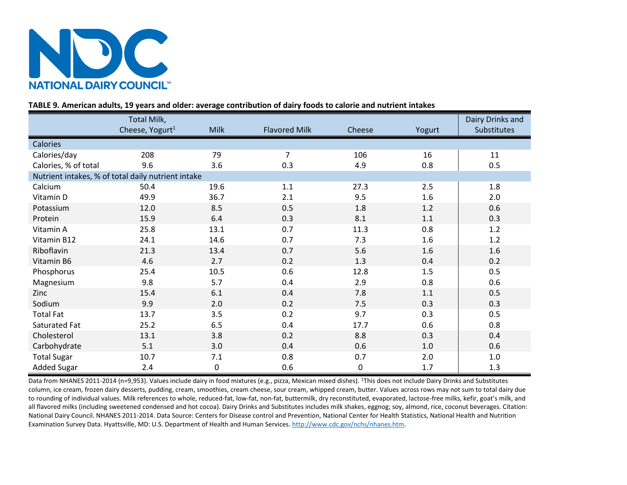

# **TABLE 9. American adults, 19 years and older: average contribution of dairy foods to calorie and nutrient intakes**

|                                                    | Total Milk,                 |             |                      |             |        | Dairy Drinks and |
|----------------------------------------------------|-----------------------------|-------------|----------------------|-------------|--------|------------------|
|                                                    | Cheese, Yogurt <sup>1</sup> | <b>Milk</b> | <b>Flavored Milk</b> | Cheese      | Yogurt | Substitutes      |
| Calories                                           |                             |             |                      |             |        |                  |
| Calories/day                                       | 208                         | 79          | 7                    | 106         | 16     | 11               |
| Calories, % of total                               | 9.6                         | 3.6         | 0.3                  | 4.9         | 0.8    | 0.5              |
| Nutrient intakes, % of total daily nutrient intake |                             |             |                      |             |        |                  |
| Calcium                                            | 50.4                        | 19.6        | 1.1                  | 27.3        | 2.5    | 1.8              |
| Vitamin D                                          | 49.9                        | 36.7        | 2.1                  | 9.5         | 1.6    | 2.0              |
| Potassium                                          | 12.0                        | 8.5         | 0.5                  | 1.8         | 1.2    | 0.6              |
| Protein                                            | 15.9                        | 6.4         | 0.3                  | 8.1         | 1.1    | 0.3              |
| Vitamin A                                          | 25.8                        | 13.1        | 0.7                  | 11.3        | 0.8    | 1.2              |
| Vitamin B12                                        | 24.1                        | 14.6        | 0.7                  | 7.3         | 1.6    | 1.2              |
| Riboflavin                                         | 21.3                        | 13.4        | 0.7                  | 5.6         | 1.6    | 1.6              |
| Vitamin B6                                         | 4.6                         | 2.7         | 0.2                  | 1.3         | 0.4    | 0.2              |
| Phosphorus                                         | 25.4                        | 10.5        | 0.6                  | 12.8        | 1.5    | 0.5              |
| Magnesium                                          | 9.8                         | 5.7         | 0.4                  | 2.9         | 0.8    | 0.6              |
| Zinc                                               | 15.4                        | 6.1         | 0.4                  | 7.8         | 1.1    | 0.5              |
| Sodium                                             | 9.9                         | 2.0         | 0.2                  | 7.5         | 0.3    | 0.3              |
| <b>Total Fat</b>                                   | 13.7                        | 3.5         | 0.2                  | 9.7         | 0.3    | 0.5              |
| Saturated Fat                                      | 25.2                        | 6.5         | 0.4                  | 17.7        | 0.6    | 0.8              |
| Cholesterol                                        | 13.1                        | 3.8         | 0.2                  | 8.8         | 0.3    | 0.4              |
| Carbohydrate                                       | 5.1                         | 3.0         | 0.4                  | 0.6         | 1.0    | 0.6              |
| <b>Total Sugar</b>                                 | 10.7                        | 7.1         | 0.8                  | 0.7         | 2.0    | $1.0\,$          |
| <b>Added Sugar</b>                                 | 2.4                         | 0           | 0.6                  | $\mathbf 0$ | 1.7    | 1.3              |

Data from NHANES 2011-2014 (n=9,953). Values include dairy in food mixtures (e.g., pizza, Mexican mixed dishes). <sup>1</sup>This does not include Dairy Drinks and Substitutes column, ice cream, frozen dairy desserts, pudding, cream, smoothies, cream cheese, sour cream, whipped cream, butter. Values across rows may not sum to total dairy due to rounding of individual values. Milk references to whole, reduced-fat, low-fat, non-fat, buttermilk, dry reconstituted, evaporated, lactose-free milks, kefir, goat's milk, and all flavored milks (including sweetened condensed and hot cocoa). Dairy Drinks and Substitutes includes milk shakes, eggnog; soy, almond, rice, coconut beverages. Citation: National Dairy Council. NHANES 2011-2014. Data Source: Centers for Disease control and Prevention, National Center for Health Statistics, National Health and Nutrition Examination Survey Data. Hyattsville, MD: U.S. Department of Health and Human Services. [http://www.cdc.gov/nchs/nhanes.htm.](http://www.cdc.gov/nchs/nhanes.htm)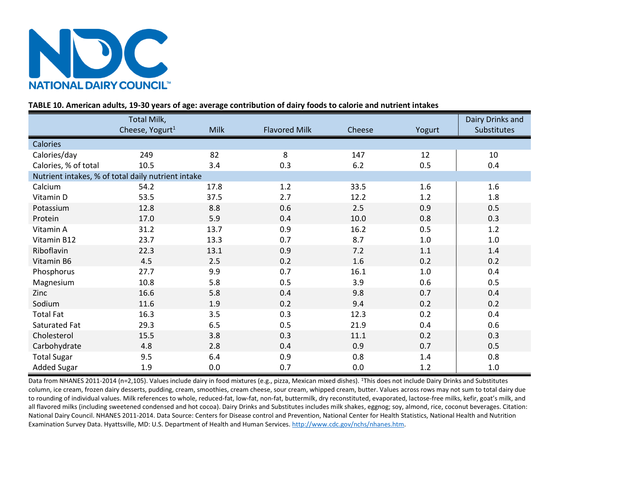

# **TABLE 10. American adults, 19-30 years of age: average contribution of dairy foods to calorie and nutrient intakes**

|                                                    | Total Milk,                 |             |                      |        |        | Dairy Drinks and   |
|----------------------------------------------------|-----------------------------|-------------|----------------------|--------|--------|--------------------|
|                                                    | Cheese, Yogurt <sup>1</sup> | <b>Milk</b> | <b>Flavored Milk</b> | Cheese | Yogurt | <b>Substitutes</b> |
| Calories                                           |                             |             |                      |        |        |                    |
| Calories/day                                       | 249                         | 82          | 8                    | 147    | 12     | 10                 |
| Calories, % of total                               | 10.5                        | 3.4         | 0.3                  | 6.2    | 0.5    | 0.4                |
| Nutrient intakes, % of total daily nutrient intake |                             |             |                      |        |        |                    |
| Calcium                                            | 54.2                        | 17.8        | 1.2                  | 33.5   | 1.6    | 1.6                |
| Vitamin D                                          | 53.5                        | 37.5        | 2.7                  | 12.2   | 1.2    | 1.8                |
| Potassium                                          | 12.8                        | 8.8         | 0.6                  | 2.5    | 0.9    | 0.5                |
| Protein                                            | 17.0                        | 5.9         | 0.4                  | 10.0   | 0.8    | 0.3                |
| Vitamin A                                          | 31.2                        | 13.7        | 0.9                  | 16.2   | 0.5    | 1.2                |
| Vitamin B12                                        | 23.7                        | 13.3        | 0.7                  | 8.7    | 1.0    | 1.0                |
| Riboflavin                                         | 22.3                        | 13.1        | 0.9                  | 7.2    | 1.1    | 1.4                |
| Vitamin B6                                         | 4.5                         | 2.5         | 0.2                  | 1.6    | 0.2    | 0.2                |
| Phosphorus                                         | 27.7                        | 9.9         | 0.7                  | 16.1   | 1.0    | 0.4                |
| Magnesium                                          | 10.8                        | 5.8         | 0.5                  | 3.9    | 0.6    | 0.5                |
| Zinc                                               | 16.6                        | 5.8         | 0.4                  | 9.8    | 0.7    | 0.4                |
| Sodium                                             | 11.6                        | 1.9         | 0.2                  | 9.4    | 0.2    | 0.2                |
| <b>Total Fat</b>                                   | 16.3                        | 3.5         | 0.3                  | 12.3   | 0.2    | 0.4                |
| Saturated Fat                                      | 29.3                        | 6.5         | 0.5                  | 21.9   | 0.4    | 0.6                |
| Cholesterol                                        | 15.5                        | 3.8         | 0.3                  | 11.1   | 0.2    | 0.3                |
| Carbohydrate                                       | 4.8                         | 2.8         | 0.4                  | 0.9    | 0.7    | 0.5                |
| <b>Total Sugar</b>                                 | 9.5                         | 6.4         | 0.9                  | 0.8    | 1.4    | 0.8                |
| <b>Added Sugar</b>                                 | 1.9                         | 0.0         | 0.7                  | 0.0    | 1.2    | 1.0                |

Data from NHANES 2011-2014 (n=2,105). Values include dairy in food mixtures (e.g., pizza, Mexican mixed dishes). <sup>1</sup>This does not include Dairy Drinks and Substitutes column, ice cream, frozen dairy desserts, pudding, cream, smoothies, cream cheese, sour cream, whipped cream, butter. Values across rows may not sum to total dairy due to rounding of individual values. Milk references to whole, reduced-fat, low-fat, non-fat, buttermilk, dry reconstituted, evaporated, lactose-free milks, kefir, goat's milk, and all flavored milks (including sweetened condensed and hot cocoa). Dairy Drinks and Substitutes includes milk shakes, eggnog; soy, almond, rice, coconut beverages. Citation: National Dairy Council. NHANES 2011-2014. Data Source: Centers for Disease control and Prevention, National Center for Health Statistics, National Health and Nutrition Examination Survey Data. Hyattsville, MD: U.S. Department of Health and Human Services. [http://www.cdc.gov/nchs/nhanes.htm.](http://www.cdc.gov/nchs/nhanes.htm)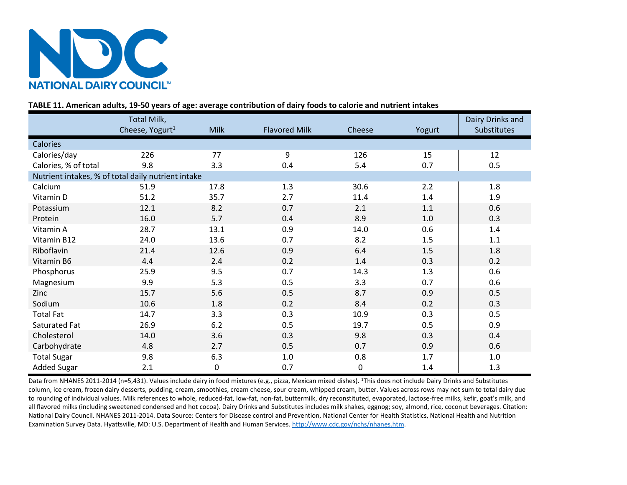

# **TABLE 11. American adults, 19-50 years of age: average contribution of dairy foods to calorie and nutrient intakes**

|                                                    | Total Milk,                 |             |                      |             |        | Dairy Drinks and |
|----------------------------------------------------|-----------------------------|-------------|----------------------|-------------|--------|------------------|
|                                                    | Cheese, Yogurt <sup>1</sup> | <b>Milk</b> | <b>Flavored Milk</b> | Cheese      | Yogurt | Substitutes      |
| Calories                                           |                             |             |                      |             |        |                  |
| Calories/day                                       | 226                         | 77          | 9                    | 126         | 15     | 12               |
| Calories, % of total                               | 9.8                         | 3.3         | 0.4                  | 5.4         | 0.7    | 0.5              |
| Nutrient intakes, % of total daily nutrient intake |                             |             |                      |             |        |                  |
| Calcium                                            | 51.9                        | 17.8        | 1.3                  | 30.6        | 2.2    | 1.8              |
| Vitamin D                                          | 51.2                        | 35.7        | 2.7                  | 11.4        | 1.4    | 1.9              |
| Potassium                                          | 12.1                        | 8.2         | 0.7                  | 2.1         | 1.1    | 0.6              |
| Protein                                            | 16.0                        | 5.7         | 0.4                  | 8.9         | 1.0    | 0.3              |
| Vitamin A                                          | 28.7                        | 13.1        | 0.9                  | 14.0        | 0.6    | 1.4              |
| Vitamin B12                                        | 24.0                        | 13.6        | 0.7                  | 8.2         | 1.5    | 1.1              |
| Riboflavin                                         | 21.4                        | 12.6        | 0.9                  | 6.4         | 1.5    | 1.8              |
| Vitamin B6                                         | 4.4                         | 2.4         | 0.2                  | 1.4         | 0.3    | 0.2              |
| Phosphorus                                         | 25.9                        | 9.5         | 0.7                  | 14.3        | 1.3    | 0.6              |
| Magnesium                                          | 9.9                         | 5.3         | 0.5                  | 3.3         | 0.7    | 0.6              |
| Zinc                                               | 15.7                        | 5.6         | 0.5                  | 8.7         | 0.9    | 0.5              |
| Sodium                                             | 10.6                        | 1.8         | 0.2                  | 8.4         | 0.2    | 0.3              |
| <b>Total Fat</b>                                   | 14.7                        | 3.3         | 0.3                  | 10.9        | 0.3    | 0.5              |
| Saturated Fat                                      | 26.9                        | 6.2         | 0.5                  | 19.7        | 0.5    | 0.9              |
| Cholesterol                                        | 14.0                        | 3.6         | 0.3                  | 9.8         | 0.3    | 0.4              |
| Carbohydrate                                       | 4.8                         | 2.7         | 0.5                  | 0.7         | 0.9    | 0.6              |
| <b>Total Sugar</b>                                 | 9.8                         | 6.3         | $1.0\,$              | 0.8         | 1.7    | $1.0\,$          |
| <b>Added Sugar</b>                                 | 2.1                         | 0           | 0.7                  | $\mathbf 0$ | 1.4    | 1.3              |

Data from NHANES 2011-2014 (n=5,431). Values include dairy in food mixtures (e.g., pizza, Mexican mixed dishes). <sup>1</sup>This does not include Dairy Drinks and Substitutes column, ice cream, frozen dairy desserts, pudding, cream, smoothies, cream cheese, sour cream, whipped cream, butter. Values across rows may not sum to total dairy due to rounding of individual values. Milk references to whole, reduced-fat, low-fat, non-fat, buttermilk, dry reconstituted, evaporated, lactose-free milks, kefir, goat's milk, and all flavored milks (including sweetened condensed and hot cocoa). Dairy Drinks and Substitutes includes milk shakes, eggnog; soy, almond, rice, coconut beverages. Citation: National Dairy Council. NHANES 2011-2014. Data Source: Centers for Disease control and Prevention, National Center for Health Statistics, National Health and Nutrition Examination Survey Data. Hyattsville, MD: U.S. Department of Health and Human Services. [http://www.cdc.gov/nchs/nhanes.htm.](http://www.cdc.gov/nchs/nhanes.htm)